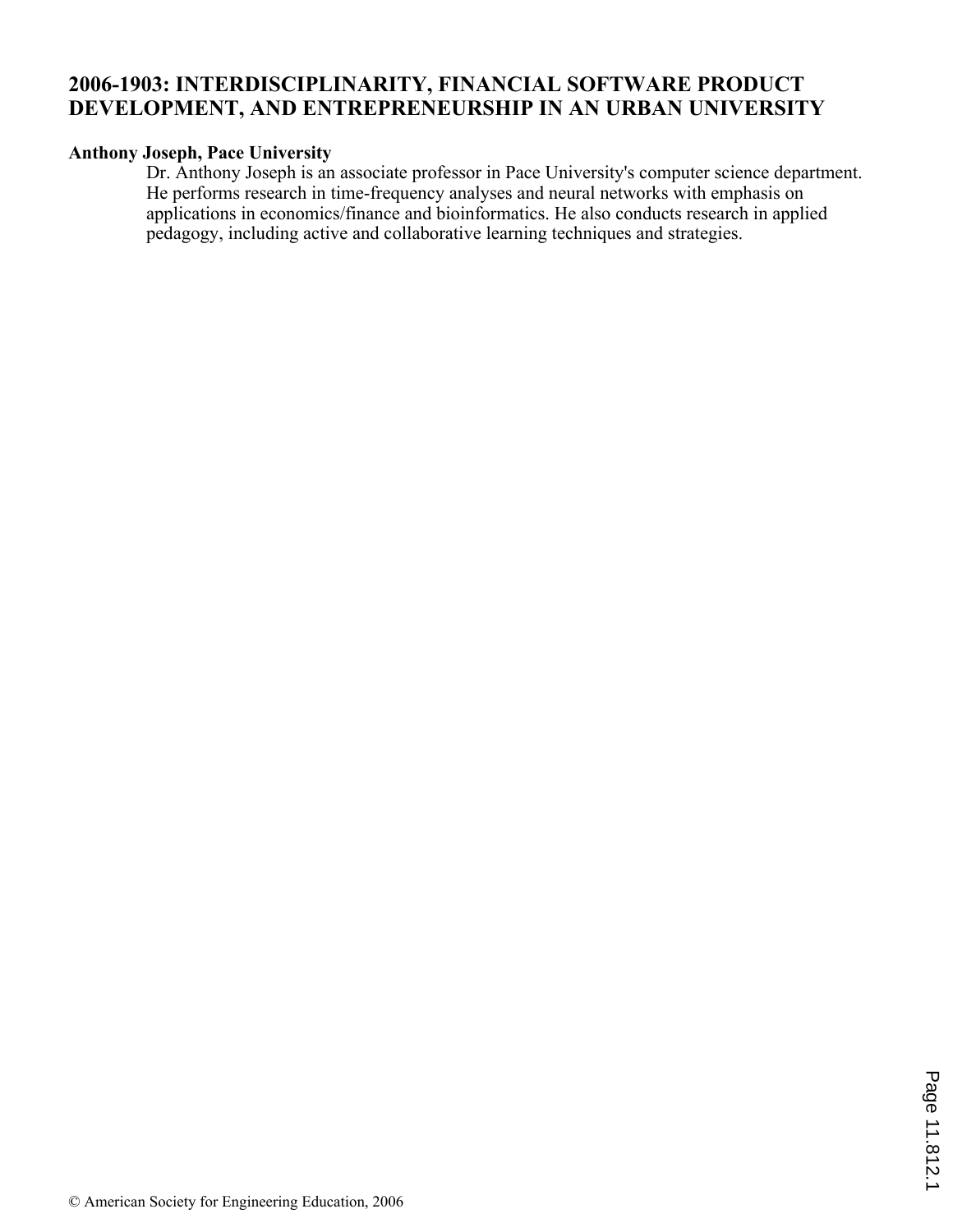# **2006-1903: INTERDISCIPLINARITY, FINANCIAL SOFTWARE PRODUCT DEVELOPMENT, AND ENTREPRENEURSHIP IN AN URBAN UNIVERSITY**

### **Anthony Joseph, Pace University**

Dr. Anthony Joseph is an associate professor in Pace University's computer science department. He performs research in time-frequency analyses and neural networks with emphasis on applications in economics/finance and bioinformatics. He also conducts research in applied pedagogy, including active and collaborative learning techniques and strategies.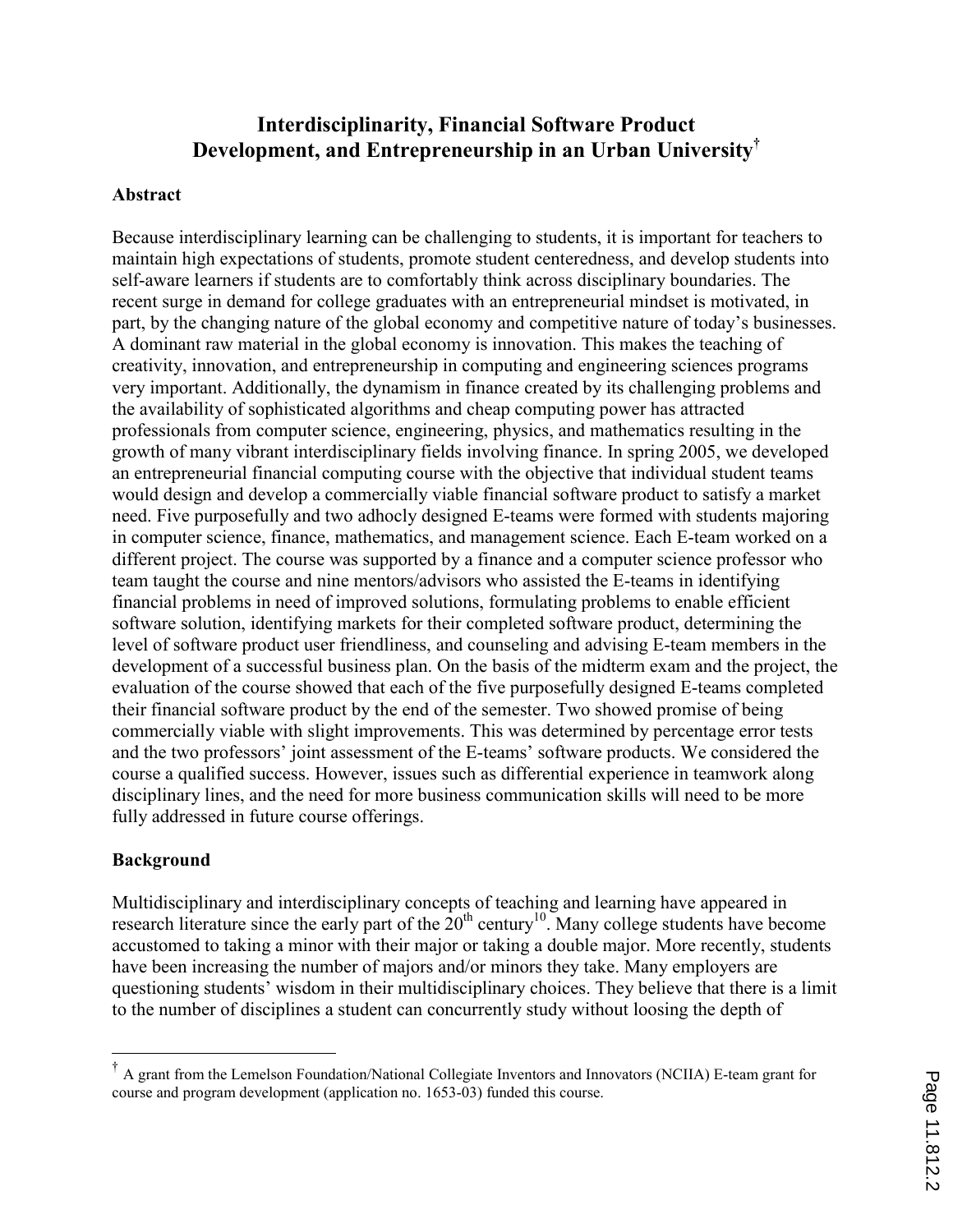# Interdisciplinarity, Financial Software Product Development, and Entrepreneurship in an Urban University†

### Abstract

Because interdisciplinary learning can be challenging to students, it is important for teachers to maintain high expectations of students, promote student centeredness, and develop students into self-aware learners if students are to comfortably think across disciplinary boundaries. The recent surge in demand for college graduates with an entrepreneurial mindset is motivated, in part, by the changing nature of the global economy and competitive nature of today's businesses. A dominant raw material in the global economy is innovation. This makes the teaching of creativity, innovation, and entrepreneurship in computing and engineering sciences programs very important. Additionally, the dynamism in finance created by its challenging problems and the availability of sophisticated algorithms and cheap computing power has attracted professionals from computer science, engineering, physics, and mathematics resulting in the growth of many vibrant interdisciplinary fields involving finance. In spring 2005, we developed an entrepreneurial financial computing course with the objective that individual student teams would design and develop a commercially viable financial software product to satisfy a market need. Five purposefully and two adhocly designed E-teams were formed with students majoring in computer science, finance, mathematics, and management science. Each E-team worked on a different project. The course was supported by a finance and a computer science professor who team taught the course and nine mentors/advisors who assisted the E-teams in identifying financial problems in need of improved solutions, formulating problems to enable efficient software solution, identifying markets for their completed software product, determining the level of software product user friendliness, and counseling and advising E-team members in the development of a successful business plan. On the basis of the midterm exam and the project, the evaluation of the course showed that each of the five purposefully designed E-teams completed their financial software product by the end of the semester. Two showed promise of being commercially viable with slight improvements. This was determined by percentage error tests and the two professors' joint assessment of the E-teams' software products. We considered the course a qualified success. However, issues such as differential experience in teamwork along disciplinary lines, and the need for more business communication skills will need to be more fully addressed in future course offerings.

### Background

 $\overline{\phantom{a}}$ 

Multidisciplinary and interdisciplinary concepts of teaching and learning have appeared in research literature since the early part of the  $20<sup>th</sup>$  century<sup>10</sup>. Many college students have become accustomed to taking a minor with their major or taking a double major. More recently, students have been increasing the number of majors and/or minors they take. Many employers are questioning students' wisdom in their multidisciplinary choices. They believe that there is a limit to the number of disciplines a student can concurrently study without loosing the depth of

<sup>†</sup> A grant from the Lemelson Foundation/National Collegiate Inventors and Innovators (NCIIA) E-team grant for course and program development (application no. 1653-03) funded this course.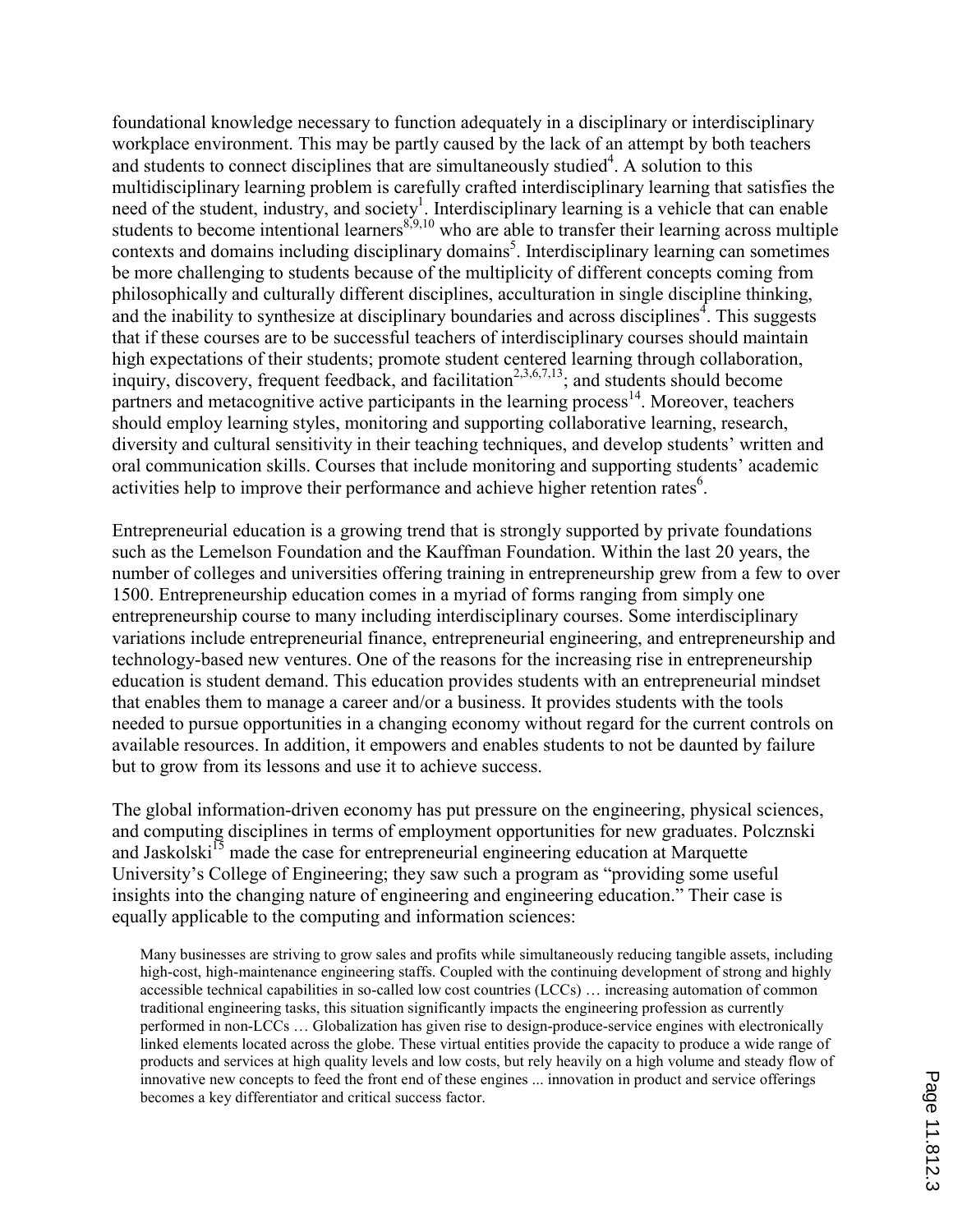foundational knowledge necessary to function adequately in a disciplinary or interdisciplinary workplace environment. This may be partly caused by the lack of an attempt by both teachers and students to connect disciplines that are simultaneously studied<sup>4</sup>. A solution to this multidisciplinary learning problem is carefully crafted interdisciplinary learning that satisfies the need of the student, industry, and society<sup>1</sup>. Interdisciplinary learning is a vehicle that can enable students to become intentional learners<sup>8,9,10</sup> who are able to transfer their learning across multiple contexts and domains including disciplinary domains<sup>5</sup>. Interdisciplinary learning can sometimes be more challenging to students because of the multiplicity of different concepts coming from philosophically and culturally different disciplines, acculturation in single discipline thinking, and the inability to synthesize at disciplinary boundaries and across disciplines<sup>4</sup>. This suggests that if these courses are to be successful teachers of interdisciplinary courses should maintain high expectations of their students; promote student centered learning through collaboration, inquiry, discovery, frequent feedback, and facilitation<sup>2,3,6,7,13</sup>; and students should become partners and metacognitive active participants in the learning process<sup>14</sup>. Moreover, teachers should employ learning styles, monitoring and supporting collaborative learning, research, diversity and cultural sensitivity in their teaching techniques, and develop students' written and oral communication skills. Courses that include monitoring and supporting students' academic activities help to improve their performance and achieve higher retention rates<sup>6</sup>.

Entrepreneurial education is a growing trend that is strongly supported by private foundations such as the Lemelson Foundation and the Kauffman Foundation. Within the last 20 years, the number of colleges and universities offering training in entrepreneurship grew from a few to over 1500. Entrepreneurship education comes in a myriad of forms ranging from simply one entrepreneurship course to many including interdisciplinary courses. Some interdisciplinary variations include entrepreneurial finance, entrepreneurial engineering, and entrepreneurship and technology-based new ventures. One of the reasons for the increasing rise in entrepreneurship education is student demand. This education provides students with an entrepreneurial mindset that enables them to manage a career and/or a business. It provides students with the tools needed to pursue opportunities in a changing economy without regard for the current controls on available resources. In addition, it empowers and enables students to not be daunted by failure but to grow from its lessons and use it to achieve success.

The global information-driven economy has put pressure on the engineering, physical sciences, and computing disciplines in terms of employment opportunities for new graduates. Polcznski and Jaskolski<sup>15</sup> made the case for entrepreneurial engineering education at Marquette University's College of Engineering; they saw such a program as "providing some useful insights into the changing nature of engineering and engineering education." Their case is equally applicable to the computing and information sciences:

Many businesses are striving to grow sales and profits while simultaneously reducing tangible assets, including high-cost, high-maintenance engineering staffs. Coupled with the continuing development of strong and highly accessible technical capabilities in so-called low cost countries (LCCs) … increasing automation of common traditional engineering tasks, this situation significantly impacts the engineering profession as currently performed in non-LCCs … Globalization has given rise to design-produce-service engines with electronically linked elements located across the globe. These virtual entities provide the capacity to produce a wide range of products and services at high quality levels and low costs, but rely heavily on a high volume and steady flow of innovative new concepts to feed the front end of these engines ... innovation in product and service offerings becomes a key differentiator and critical success factor.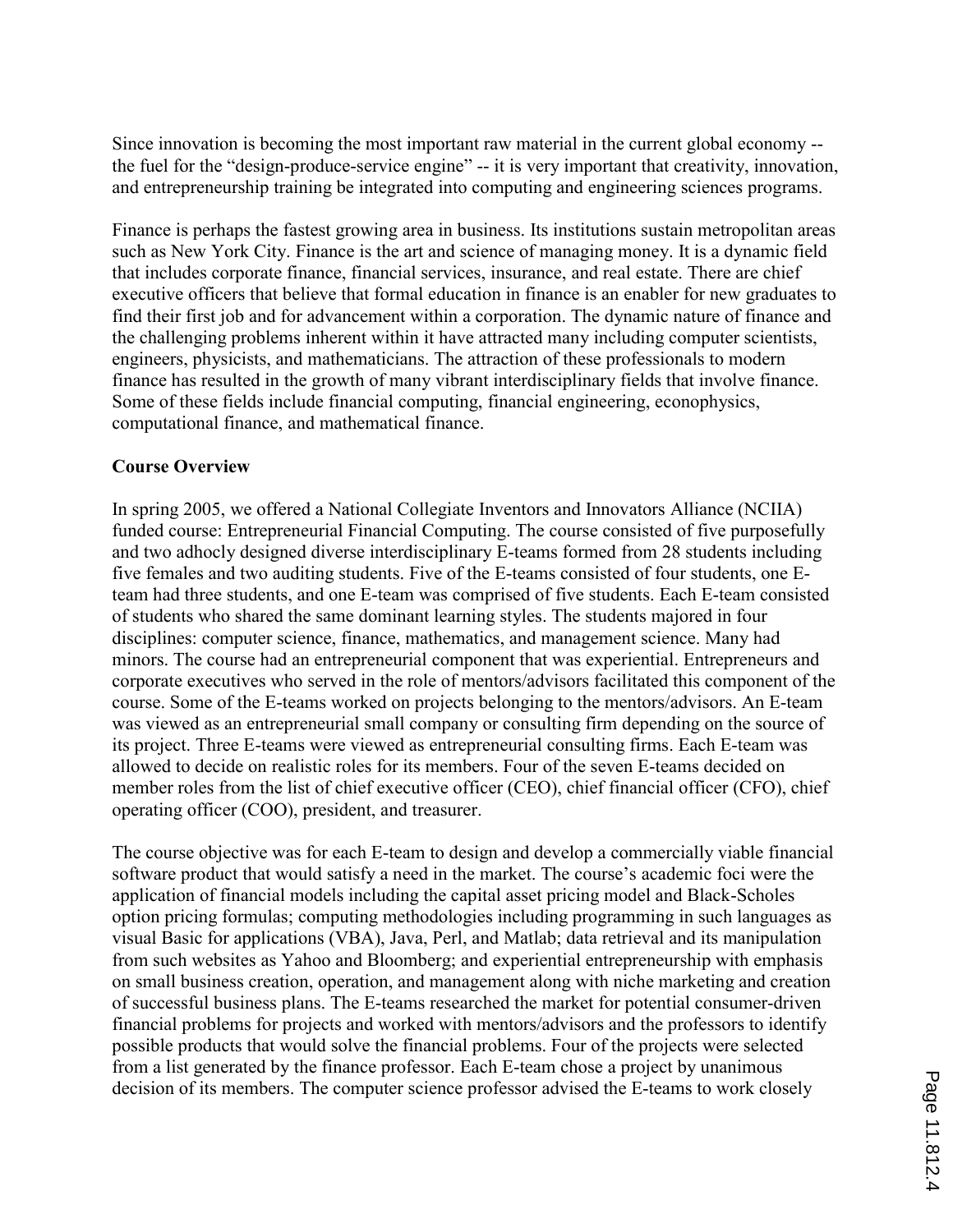Since innovation is becoming the most important raw material in the current global economy - the fuel for the "design-produce-service engine" -- it is very important that creativity, innovation, and entrepreneurship training be integrated into computing and engineering sciences programs.

Finance is perhaps the fastest growing area in business. Its institutions sustain metropolitan areas such as New York City. Finance is the art and science of managing money. It is a dynamic field that includes corporate finance, financial services, insurance, and real estate. There are chief executive officers that believe that formal education in finance is an enabler for new graduates to find their first job and for advancement within a corporation. The dynamic nature of finance and the challenging problems inherent within it have attracted many including computer scientists, engineers, physicists, and mathematicians. The attraction of these professionals to modern finance has resulted in the growth of many vibrant interdisciplinary fields that involve finance. Some of these fields include financial computing, financial engineering, econophysics, computational finance, and mathematical finance.

### Course Overview

In spring 2005, we offered a National Collegiate Inventors and Innovators Alliance (NCIIA) funded course: Entrepreneurial Financial Computing. The course consisted of five purposefully and two adhocly designed diverse interdisciplinary E-teams formed from 28 students including five females and two auditing students. Five of the E-teams consisted of four students, one Eteam had three students, and one E-team was comprised of five students. Each E-team consisted of students who shared the same dominant learning styles. The students majored in four disciplines: computer science, finance, mathematics, and management science. Many had minors. The course had an entrepreneurial component that was experiential. Entrepreneurs and corporate executives who served in the role of mentors/advisors facilitated this component of the course. Some of the E-teams worked on projects belonging to the mentors/advisors. An E-team was viewed as an entrepreneurial small company or consulting firm depending on the source of its project. Three E-teams were viewed as entrepreneurial consulting firms. Each E-team was allowed to decide on realistic roles for its members. Four of the seven E-teams decided on member roles from the list of chief executive officer (CEO), chief financial officer (CFO), chief operating officer (COO), president, and treasurer.

The course objective was for each E-team to design and develop a commercially viable financial software product that would satisfy a need in the market. The course's academic foci were the application of financial models including the capital asset pricing model and Black-Scholes option pricing formulas; computing methodologies including programming in such languages as visual Basic for applications (VBA), Java, Perl, and Matlab; data retrieval and its manipulation from such websites as Yahoo and Bloomberg; and experiential entrepreneurship with emphasis on small business creation, operation, and management along with niche marketing and creation of successful business plans. The E-teams researched the market for potential consumer-driven financial problems for projects and worked with mentors/advisors and the professors to identify possible products that would solve the financial problems. Four of the projects were selected from a list generated by the finance professor. Each E-team chose a project by unanimous decision of its members. The computer science professor advised the E-teams to work closely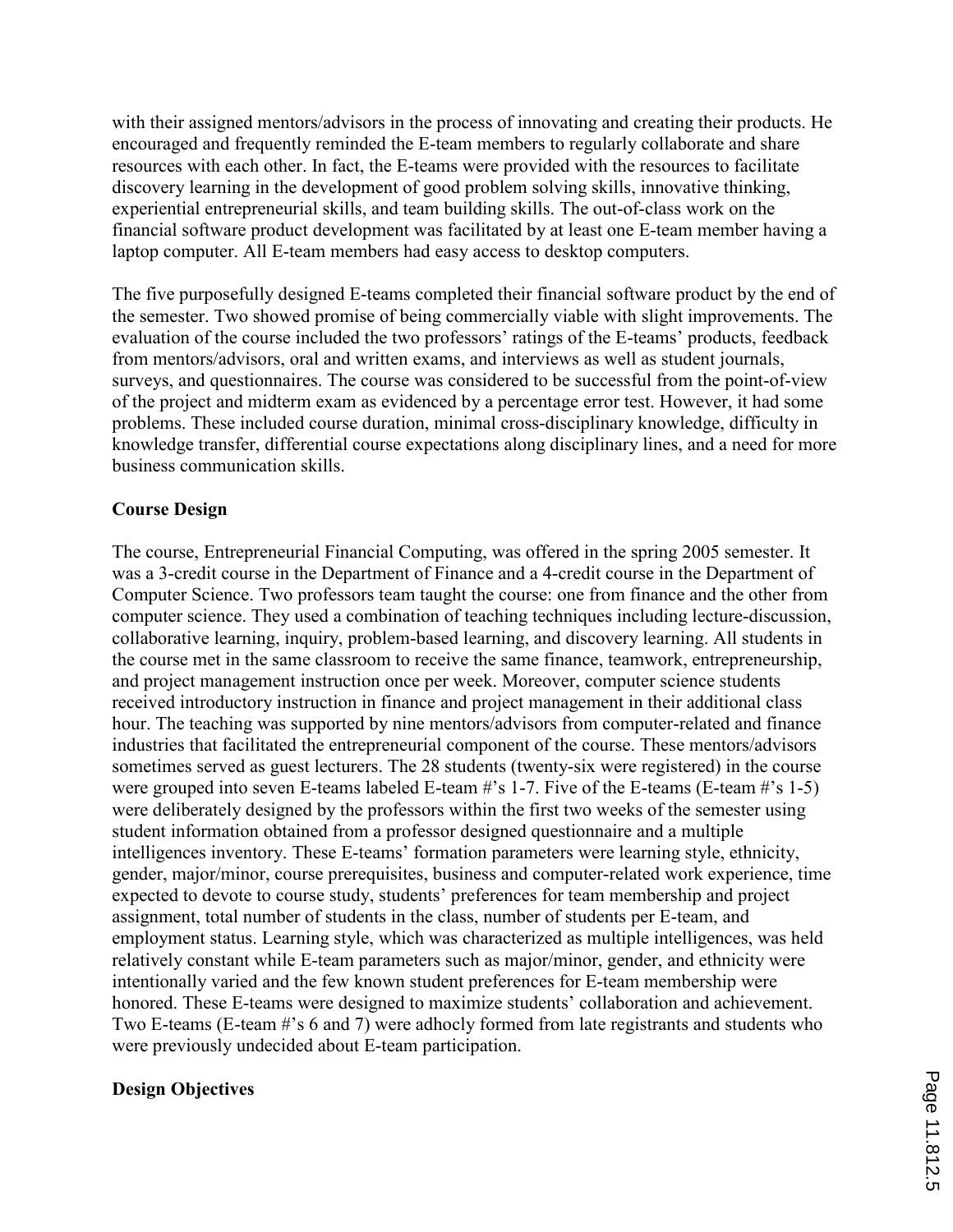with their assigned mentors/advisors in the process of innovating and creating their products. He encouraged and frequently reminded the E-team members to regularly collaborate and share resources with each other. In fact, the E-teams were provided with the resources to facilitate discovery learning in the development of good problem solving skills, innovative thinking, experiential entrepreneurial skills, and team building skills. The out-of-class work on the financial software product development was facilitated by at least one E-team member having a laptop computer. All E-team members had easy access to desktop computers.

The five purposefully designed E-teams completed their financial software product by the end of the semester. Two showed promise of being commercially viable with slight improvements. The evaluation of the course included the two professors' ratings of the E-teams' products, feedback from mentors/advisors, oral and written exams, and interviews as well as student journals, surveys, and questionnaires. The course was considered to be successful from the point-of-view of the project and midterm exam as evidenced by a percentage error test. However, it had some problems. These included course duration, minimal cross-disciplinary knowledge, difficulty in knowledge transfer, differential course expectations along disciplinary lines, and a need for more business communication skills.

### Course Design

The course, Entrepreneurial Financial Computing, was offered in the spring 2005 semester. It was a 3-credit course in the Department of Finance and a 4-credit course in the Department of Computer Science. Two professors team taught the course: one from finance and the other from computer science. They used a combination of teaching techniques including lecture-discussion, collaborative learning, inquiry, problem-based learning, and discovery learning. All students in the course met in the same classroom to receive the same finance, teamwork, entrepreneurship, and project management instruction once per week. Moreover, computer science students received introductory instruction in finance and project management in their additional class hour. The teaching was supported by nine mentors/advisors from computer-related and finance industries that facilitated the entrepreneurial component of the course. These mentors/advisors sometimes served as guest lecturers. The 28 students (twenty-six were registered) in the course were grouped into seven E-teams labeled E-team #'s 1-7. Five of the E-teams (E-team #'s 1-5) were deliberately designed by the professors within the first two weeks of the semester using student information obtained from a professor designed questionnaire and a multiple intelligences inventory. These E-teams' formation parameters were learning style, ethnicity, gender, major/minor, course prerequisites, business and computer-related work experience, time expected to devote to course study, students' preferences for team membership and project assignment, total number of students in the class, number of students per E-team, and employment status. Learning style, which was characterized as multiple intelligences, was held relatively constant while E-team parameters such as major/minor, gender, and ethnicity were intentionally varied and the few known student preferences for E-team membership were honored. These E-teams were designed to maximize students' collaboration and achievement. Two E-teams (E-team #'s 6 and 7) were adhocly formed from late registrants and students who were previously undecided about E-team participation.

### Design Objectives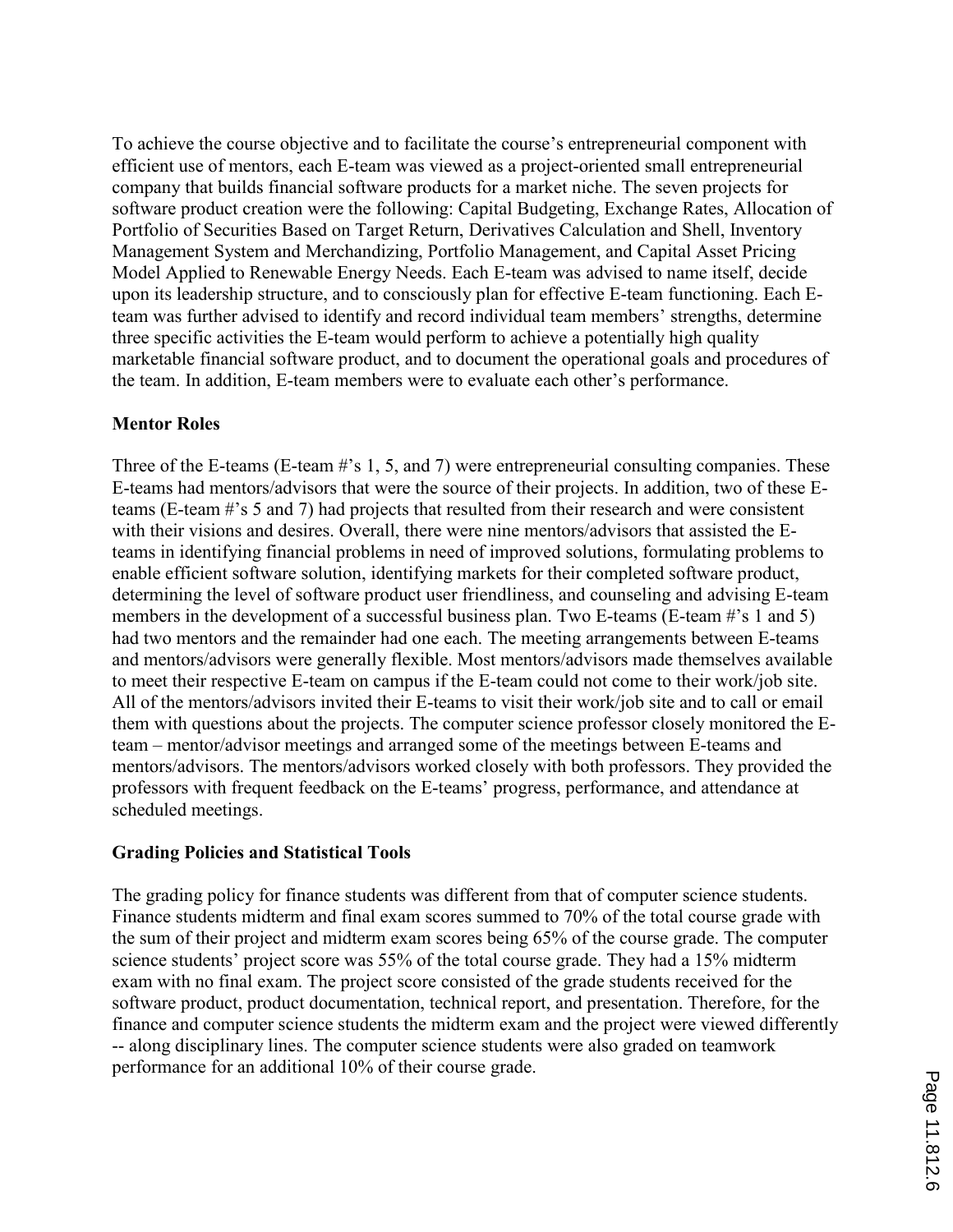To achieve the course objective and to facilitate the course's entrepreneurial component with efficient use of mentors, each E-team was viewed as a project-oriented small entrepreneurial company that builds financial software products for a market niche. The seven projects for software product creation were the following: Capital Budgeting, Exchange Rates, Allocation of Portfolio of Securities Based on Target Return, Derivatives Calculation and Shell, Inventory Management System and Merchandizing, Portfolio Management, and Capital Asset Pricing Model Applied to Renewable Energy Needs. Each E-team was advised to name itself, decide upon its leadership structure, and to consciously plan for effective E-team functioning. Each Eteam was further advised to identify and record individual team members' strengths, determine three specific activities the E-team would perform to achieve a potentially high quality marketable financial software product, and to document the operational goals and procedures of the team. In addition, E-team members were to evaluate each other's performance.

### Mentor Roles

Three of the E-teams (E-team #'s 1, 5, and 7) were entrepreneurial consulting companies. These E-teams had mentors/advisors that were the source of their projects. In addition, two of these Eteams (E-team #'s 5 and 7) had projects that resulted from their research and were consistent with their visions and desires. Overall, there were nine mentors/advisors that assisted the Eteams in identifying financial problems in need of improved solutions, formulating problems to enable efficient software solution, identifying markets for their completed software product, determining the level of software product user friendliness, and counseling and advising E-team members in the development of a successful business plan. Two E-teams (E-team #'s 1 and 5) had two mentors and the remainder had one each. The meeting arrangements between E-teams and mentors/advisors were generally flexible. Most mentors/advisors made themselves available to meet their respective E-team on campus if the E-team could not come to their work/job site. All of the mentors/advisors invited their E-teams to visit their work/job site and to call or email them with questions about the projects. The computer science professor closely monitored the Eteam – mentor/advisor meetings and arranged some of the meetings between E-teams and mentors/advisors. The mentors/advisors worked closely with both professors. They provided the professors with frequent feedback on the E-teams' progress, performance, and attendance at scheduled meetings.

### Grading Policies and Statistical Tools

The grading policy for finance students was different from that of computer science students. Finance students midterm and final exam scores summed to 70% of the total course grade with the sum of their project and midterm exam scores being 65% of the course grade. The computer science students' project score was 55% of the total course grade. They had a 15% midterm exam with no final exam. The project score consisted of the grade students received for the software product, product documentation, technical report, and presentation. Therefore, for the finance and computer science students the midterm exam and the project were viewed differently -- along disciplinary lines. The computer science students were also graded on teamwork performance for an additional 10% of their course grade.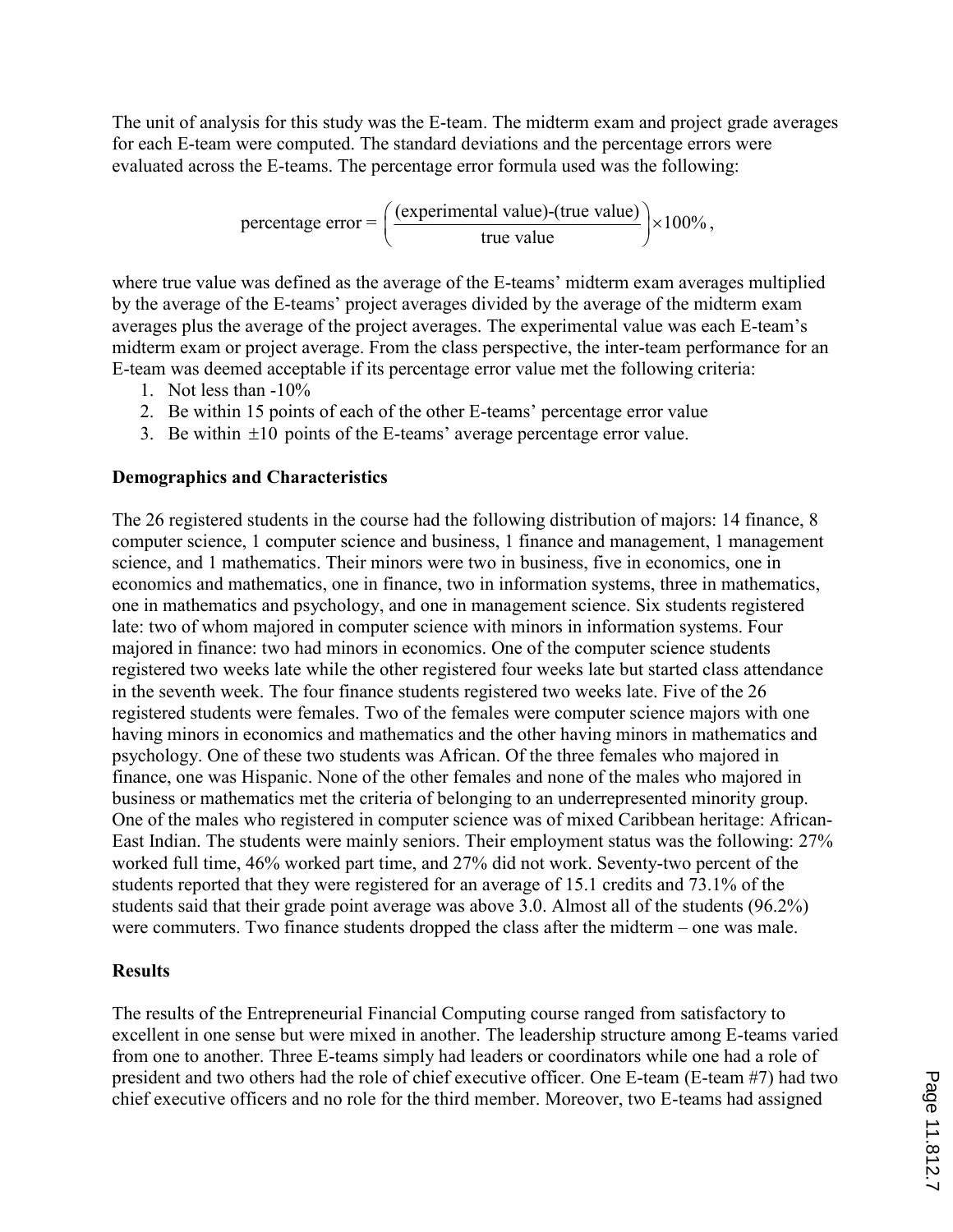The unit of analysis for this study was the E-team. The midterm exam and project grade averages for each E-team were computed. The standard deviations and the percentage errors were evaluated across the E-teams. The percentage error formula used was the following:

$$
percentage error = \left(\frac{(experimental value) \cdot (true value)}{true value}\right) \times 100\%,
$$

where true value was defined as the average of the E-teams' midterm exam averages multiplied by the average of the E-teams' project averages divided by the average of the midterm exam averages plus the average of the project averages. The experimental value was each E-team's midterm exam or project average. From the class perspective, the inter-team performance for an E-team was deemed acceptable if its percentage error value met the following criteria:

- 1. Not less than -10%
- 2. Be within 15 points of each of the other E-teams' percentage error value
- 3. Be within ±10 points of the E-teams' average percentage error value.

### Demographics and Characteristics

The 26 registered students in the course had the following distribution of majors: 14 finance, 8 computer science, 1 computer science and business, 1 finance and management, 1 management science, and 1 mathematics. Their minors were two in business, five in economics, one in economics and mathematics, one in finance, two in information systems, three in mathematics, one in mathematics and psychology, and one in management science. Six students registered late: two of whom majored in computer science with minors in information systems. Four majored in finance: two had minors in economics. One of the computer science students registered two weeks late while the other registered four weeks late but started class attendance in the seventh week. The four finance students registered two weeks late. Five of the 26 registered students were females. Two of the females were computer science majors with one having minors in economics and mathematics and the other having minors in mathematics and psychology. One of these two students was African. Of the three females who majored in finance, one was Hispanic. None of the other females and none of the males who majored in business or mathematics met the criteria of belonging to an underrepresented minority group. One of the males who registered in computer science was of mixed Caribbean heritage: African-East Indian. The students were mainly seniors. Their employment status was the following: 27% worked full time, 46% worked part time, and 27% did not work. Seventy-two percent of the students reported that they were registered for an average of 15.1 credits and 73.1% of the students said that their grade point average was above 3.0. Almost all of the students (96.2%) were commuters. Two finance students dropped the class after the midterm – one was male.

### **Results**

The results of the Entrepreneurial Financial Computing course ranged from satisfactory to excellent in one sense but were mixed in another. The leadership structure among E-teams varied from one to another. Three E-teams simply had leaders or coordinators while one had a role of president and two others had the role of chief executive officer. One E-team (E-team #7) had two chief executive officers and no role for the third member. Moreover, two E-teams had assigned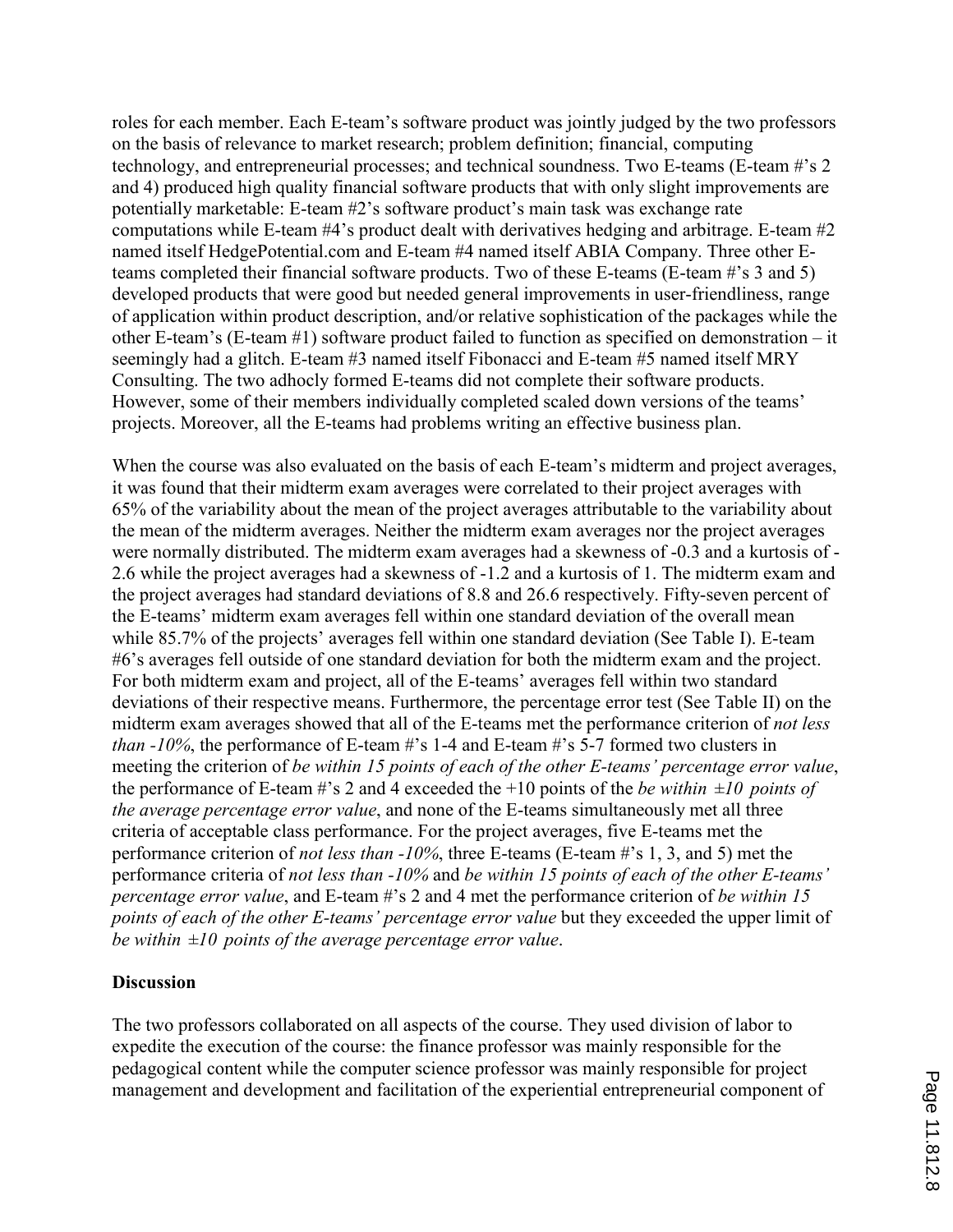roles for each member. Each E-team's software product was jointly judged by the two professors on the basis of relevance to market research; problem definition; financial, computing technology, and entrepreneurial processes; and technical soundness. Two E-teams (E-team #'s 2 and 4) produced high quality financial software products that with only slight improvements are potentially marketable: E-team #2's software product's main task was exchange rate computations while E-team #4's product dealt with derivatives hedging and arbitrage. E-team #2 named itself HedgePotential.com and E-team #4 named itself ABIA Company. Three other Eteams completed their financial software products. Two of these E-teams (E-team #'s 3 and 5) developed products that were good but needed general improvements in user-friendliness, range of application within product description, and/or relative sophistication of the packages while the other E-team's (E-team #1) software product failed to function as specified on demonstration – it seemingly had a glitch. E-team #3 named itself Fibonacci and E-team #5 named itself MRY Consulting. The two adhocly formed E-teams did not complete their software products. However, some of their members individually completed scaled down versions of the teams' projects. Moreover, all the E-teams had problems writing an effective business plan.

When the course was also evaluated on the basis of each E-team's midterm and project averages, it was found that their midterm exam averages were correlated to their project averages with 65% of the variability about the mean of the project averages attributable to the variability about the mean of the midterm averages. Neither the midterm exam averages nor the project averages were normally distributed. The midterm exam averages had a skewness of -0.3 and a kurtosis of - 2.6 while the project averages had a skewness of -1.2 and a kurtosis of 1. The midterm exam and the project averages had standard deviations of 8.8 and 26.6 respectively. Fifty-seven percent of the E-teams' midterm exam averages fell within one standard deviation of the overall mean while 85.7% of the projects' averages fell within one standard deviation (See Table I). E-team #6's averages fell outside of one standard deviation for both the midterm exam and the project. For both midterm exam and project, all of the E-teams' averages fell within two standard deviations of their respective means. Furthermore, the percentage error test (See Table II) on the midterm exam averages showed that all of the E-teams met the performance criterion of *not less* than -10%, the performance of E-team #'s 1-4 and E-team #'s 5-7 formed two clusters in meeting the criterion of be within 15 points of each of the other E-teams' percentage error value, the performance of E-team #'s 2 and 4 exceeded the +10 points of the be within  $\pm 10$  points of the average percentage error value, and none of the E-teams simultaneously met all three criteria of acceptable class performance. For the project averages, five E-teams met the performance criterion of not less than -10%, three E-teams (E-team #'s 1, 3, and 5) met the performance criteria of not less than -10% and be within 15 points of each of the other E-teams' percentage error value, and E-team #'s 2 and 4 met the performance criterion of be within 15 points of each of the other E-teams' percentage error value but they exceeded the upper limit of be within  $\pm 10$  points of the average percentage error value.

### **Discussion**

The two professors collaborated on all aspects of the course. They used division of labor to expedite the execution of the course: the finance professor was mainly responsible for the pedagogical content while the computer science professor was mainly responsible for project management and development and facilitation of the experiential entrepreneurial component of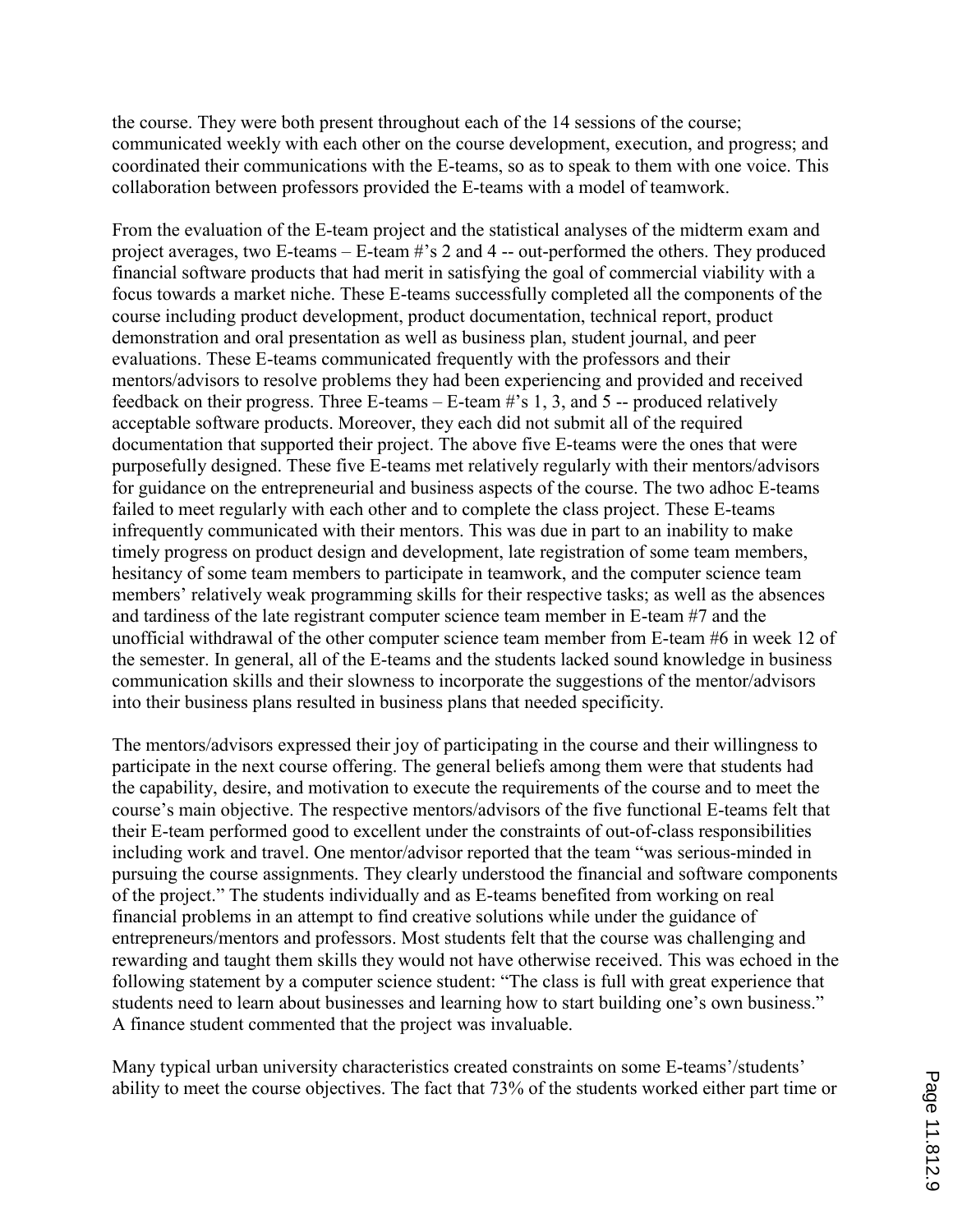the course. They were both present throughout each of the 14 sessions of the course; communicated weekly with each other on the course development, execution, and progress; and coordinated their communications with the E-teams, so as to speak to them with one voice. This collaboration between professors provided the E-teams with a model of teamwork.

From the evaluation of the E-team project and the statistical analyses of the midterm exam and project averages, two E-teams – E-team #'s 2 and 4 -- out-performed the others. They produced financial software products that had merit in satisfying the goal of commercial viability with a focus towards a market niche. These E-teams successfully completed all the components of the course including product development, product documentation, technical report, product demonstration and oral presentation as well as business plan, student journal, and peer evaluations. These E-teams communicated frequently with the professors and their mentors/advisors to resolve problems they had been experiencing and provided and received feedback on their progress. Three E-teams – E-team #'s 1, 3, and 5 -- produced relatively acceptable software products. Moreover, they each did not submit all of the required documentation that supported their project. The above five E-teams were the ones that were purposefully designed. These five E-teams met relatively regularly with their mentors/advisors for guidance on the entrepreneurial and business aspects of the course. The two adhoc E-teams failed to meet regularly with each other and to complete the class project. These E-teams infrequently communicated with their mentors. This was due in part to an inability to make timely progress on product design and development, late registration of some team members, hesitancy of some team members to participate in teamwork, and the computer science team members' relatively weak programming skills for their respective tasks; as well as the absences and tardiness of the late registrant computer science team member in E-team #7 and the unofficial withdrawal of the other computer science team member from E-team #6 in week 12 of the semester. In general, all of the E-teams and the students lacked sound knowledge in business communication skills and their slowness to incorporate the suggestions of the mentor/advisors into their business plans resulted in business plans that needed specificity.

The mentors/advisors expressed their joy of participating in the course and their willingness to participate in the next course offering. The general beliefs among them were that students had the capability, desire, and motivation to execute the requirements of the course and to meet the course's main objective. The respective mentors/advisors of the five functional E-teams felt that their E-team performed good to excellent under the constraints of out-of-class responsibilities including work and travel. One mentor/advisor reported that the team "was serious-minded in pursuing the course assignments. They clearly understood the financial and software components of the project." The students individually and as E-teams benefited from working on real financial problems in an attempt to find creative solutions while under the guidance of entrepreneurs/mentors and professors. Most students felt that the course was challenging and rewarding and taught them skills they would not have otherwise received. This was echoed in the following statement by a computer science student: "The class is full with great experience that students need to learn about businesses and learning how to start building one's own business." A finance student commented that the project was invaluable.

Many typical urban university characteristics created constraints on some E-teams'/students' ability to meet the course objectives. The fact that 73% of the students worked either part time or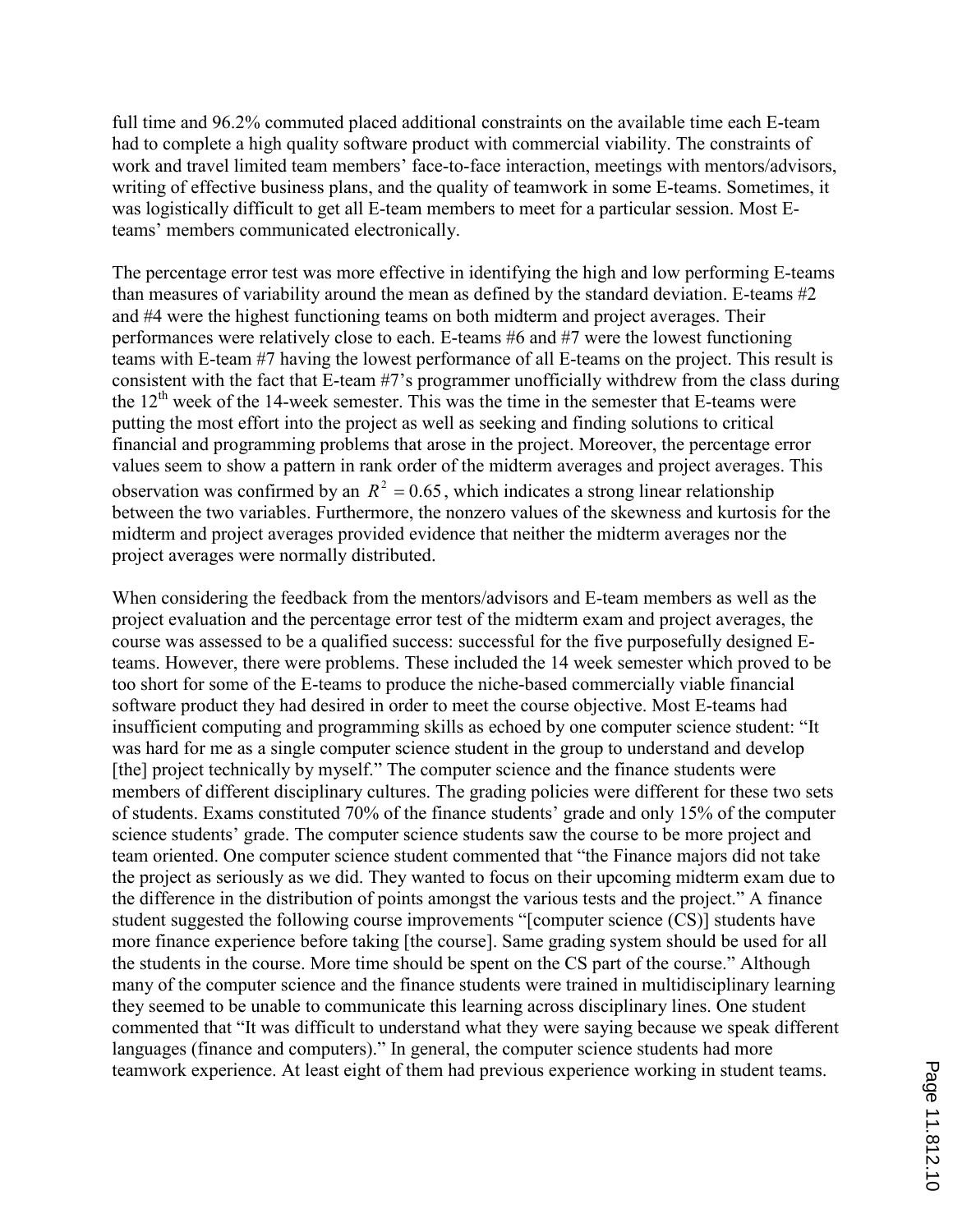full time and 96.2% commuted placed additional constraints on the available time each E-team had to complete a high quality software product with commercial viability. The constraints of work and travel limited team members' face-to-face interaction, meetings with mentors/advisors, writing of effective business plans, and the quality of teamwork in some E-teams. Sometimes, it was logistically difficult to get all E-team members to meet for a particular session. Most Eteams' members communicated electronically.

The percentage error test was more effective in identifying the high and low performing E-teams than measures of variability around the mean as defined by the standard deviation. E-teams #2 and #4 were the highest functioning teams on both midterm and project averages. Their performances were relatively close to each. E-teams #6 and #7 were the lowest functioning teams with E-team #7 having the lowest performance of all E-teams on the project. This result is consistent with the fact that E-team #7's programmer unofficially withdrew from the class during the  $12<sup>th</sup>$  week of the 14-week semester. This was the time in the semester that E-teams were putting the most effort into the project as well as seeking and finding solutions to critical financial and programming problems that arose in the project. Moreover, the percentage error values seem to show a pattern in rank order of the midterm averages and project averages. This observation was confirmed by an  $R^2 = 0.65$ , which indicates a strong linear relationship between the two variables. Furthermore, the nonzero values of the skewness and kurtosis for the midterm and project averages provided evidence that neither the midterm averages nor the project averages were normally distributed.

When considering the feedback from the mentors/advisors and E-team members as well as the project evaluation and the percentage error test of the midterm exam and project averages, the course was assessed to be a qualified success: successful for the five purposefully designed Eteams. However, there were problems. These included the 14 week semester which proved to be too short for some of the E-teams to produce the niche-based commercially viable financial software product they had desired in order to meet the course objective. Most E-teams had insufficient computing and programming skills as echoed by one computer science student: "It was hard for me as a single computer science student in the group to understand and develop [the] project technically by myself." The computer science and the finance students were members of different disciplinary cultures. The grading policies were different for these two sets of students. Exams constituted 70% of the finance students' grade and only 15% of the computer science students' grade. The computer science students saw the course to be more project and team oriented. One computer science student commented that "the Finance majors did not take the project as seriously as we did. They wanted to focus on their upcoming midterm exam due to the difference in the distribution of points amongst the various tests and the project." A finance student suggested the following course improvements "[computer science (CS)] students have more finance experience before taking [the course]. Same grading system should be used for all the students in the course. More time should be spent on the CS part of the course." Although many of the computer science and the finance students were trained in multidisciplinary learning they seemed to be unable to communicate this learning across disciplinary lines. One student commented that "It was difficult to understand what they were saying because we speak different languages (finance and computers)." In general, the computer science students had more teamwork experience. At least eight of them had previous experience working in student teams.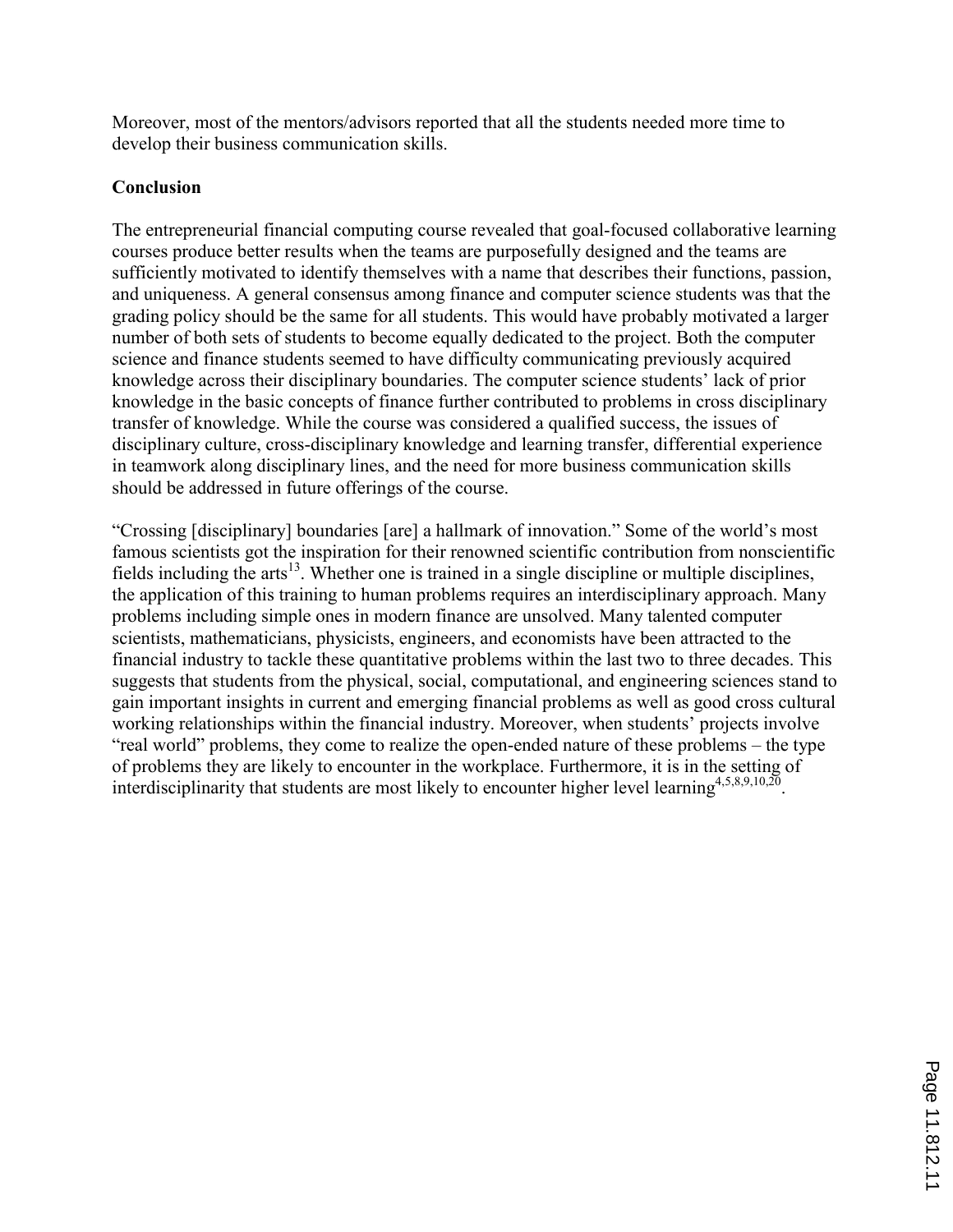Moreover, most of the mentors/advisors reported that all the students needed more time to develop their business communication skills.

## Conclusion

The entrepreneurial financial computing course revealed that goal-focused collaborative learning courses produce better results when the teams are purposefully designed and the teams are sufficiently motivated to identify themselves with a name that describes their functions, passion, and uniqueness. A general consensus among finance and computer science students was that the grading policy should be the same for all students. This would have probably motivated a larger number of both sets of students to become equally dedicated to the project. Both the computer science and finance students seemed to have difficulty communicating previously acquired knowledge across their disciplinary boundaries. The computer science students' lack of prior knowledge in the basic concepts of finance further contributed to problems in cross disciplinary transfer of knowledge. While the course was considered a qualified success, the issues of disciplinary culture, cross-disciplinary knowledge and learning transfer, differential experience in teamwork along disciplinary lines, and the need for more business communication skills should be addressed in future offerings of the course.

"Crossing [disciplinary] boundaries [are] a hallmark of innovation." Some of the world's most famous scientists got the inspiration for their renowned scientific contribution from nonscientific fields including the arts<sup>13</sup>. Whether one is trained in a single discipline or multiple disciplines, the application of this training to human problems requires an interdisciplinary approach. Many problems including simple ones in modern finance are unsolved. Many talented computer scientists, mathematicians, physicists, engineers, and economists have been attracted to the financial industry to tackle these quantitative problems within the last two to three decades. This suggests that students from the physical, social, computational, and engineering sciences stand to gain important insights in current and emerging financial problems as well as good cross cultural working relationships within the financial industry. Moreover, when students' projects involve "real world" problems, they come to realize the open-ended nature of these problems – the type of problems they are likely to encounter in the workplace. Furthermore, it is in the setting of interdisciplinarity that students are most likely to encounter higher level learning  $4,5,8,9,10,20$ .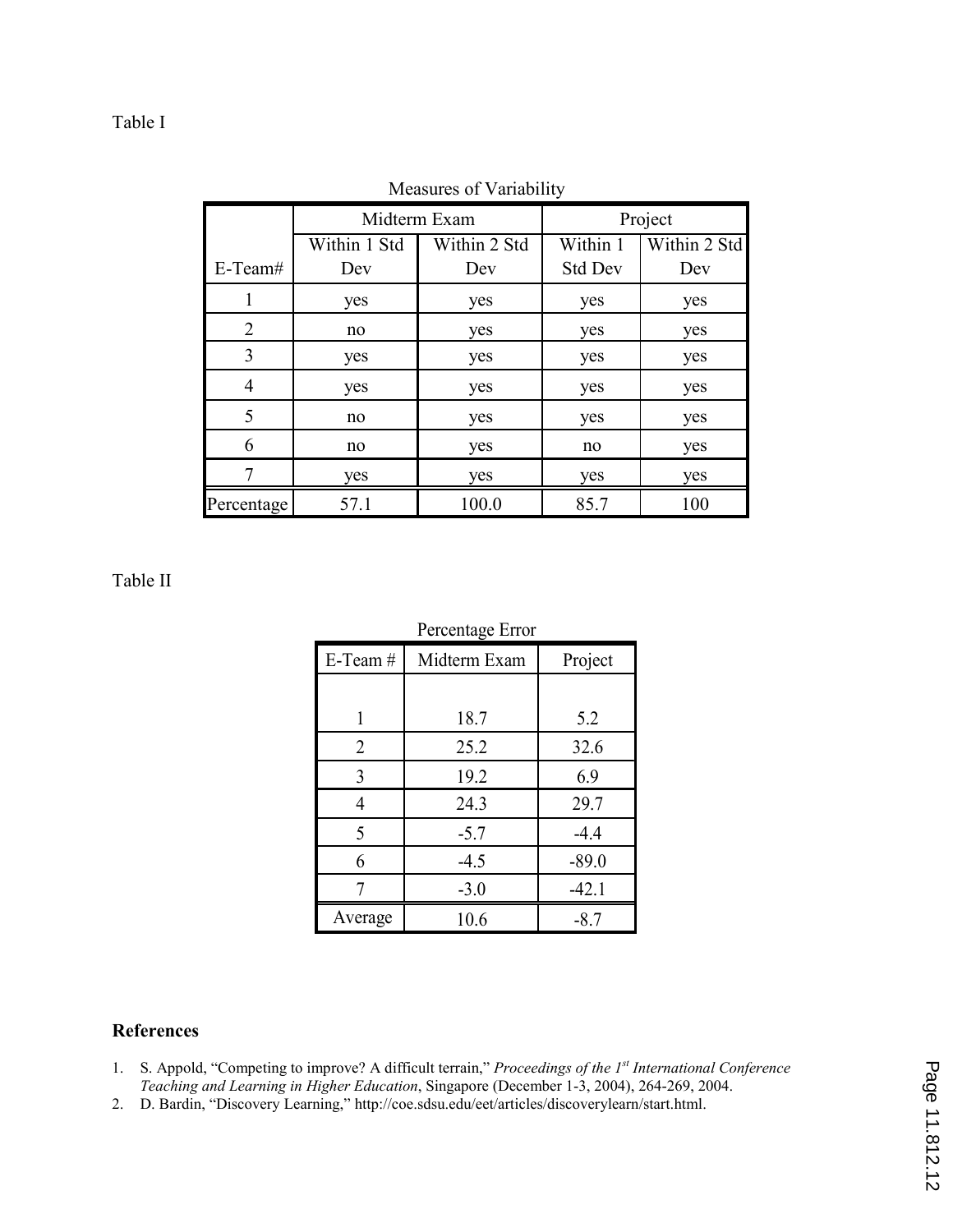## Table I

|                | Midterm Exam |              | Project        |              |
|----------------|--------------|--------------|----------------|--------------|
|                | Within 1 Std | Within 2 Std | Within 1       | Within 2 Std |
| $E-Team#$      | Dev          | Dev          | <b>Std Dev</b> | Dev          |
|                | yes          | yes          | yes            | yes          |
| $\overline{2}$ | no           | yes          | yes            | yes          |
| 3              | yes          | yes          | yes            | yes          |
| 4              | yes          | yes          | yes            | yes          |
| 5              | no           | yes          | yes            | yes          |
| 6              | no           | yes          | no             | yes          |
|                | yes          | yes          | yes            | yes          |
| Percentage     | 57.1         | 100.0        | 85.7           | 100          |

Measures of Variability

#### Table II

|                | Percentage Error |         |
|----------------|------------------|---------|
| $E-Team#$      | Midterm Exam     | Project |
|                |                  |         |
| 1              | 18.7             | 5.2     |
| $\overline{2}$ | 25.2             | 32.6    |
| 3              | 19.2             | 6.9     |
| 4              | 24.3             | 29.7    |
| 5              | $-5.7$           | $-4.4$  |
| 6              | $-4.5$           | $-89.0$ |
|                | $-3.0$           | $-42.1$ |
| Average        | 10.6             | $-8.7$  |

### References

- 1. S. Appold, "Competing to improve? A difficult terrain," Proceedings of the 1<sup>st</sup> International Conference Teaching and Learning in Higher Education, Singapore (December 1-3, 2004), 264-269, 2004.
- 2. D. Bardin, "Discovery Learning," http://coe.sdsu.edu/eet/articles/discoverylearn/start.html.